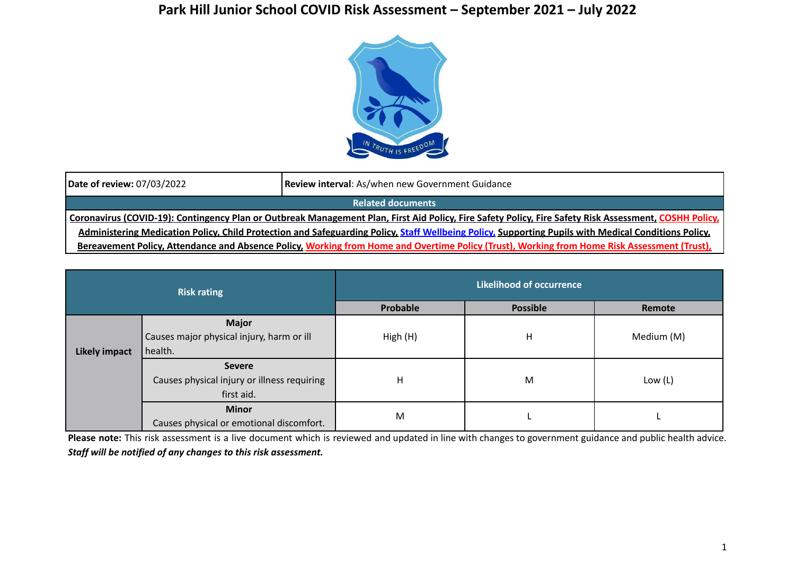## **Park Hill Junior School COVID Risk Assessment – September 2021 – July 2022**



| Date of review: 07/03/2022                                                                                                                             | Review interval: As/when new Government Guidance |  |  |  |
|--------------------------------------------------------------------------------------------------------------------------------------------------------|--------------------------------------------------|--|--|--|
| <b>Related documents</b>                                                                                                                               |                                                  |  |  |  |
| Coronavirus (COVID-19): Contingency Plan or Outbreak Management Plan, First Aid Policy, Fire Safety Policy, Fire Safety Risk Assessment, COSHH Policy, |                                                  |  |  |  |
| Administering Medication Policy, Child Protection and Safeguarding Policy, Staff Wellbeing Policy, Supporting Pupils with Medical Conditions Policy,   |                                                  |  |  |  |
| Bereavement Policy, Attendance and Absence Policy, Working from Home and Overtime Policy (Trust), Working from Home Risk Assessment (Trust),           |                                                  |  |  |  |

| <b>Risk rating</b>   |                                             | <b>Likelihood of occurrence</b> |                 |            |  |
|----------------------|---------------------------------------------|---------------------------------|-----------------|------------|--|
|                      |                                             | Probable                        | <b>Possible</b> | Remote     |  |
|                      | <b>Major</b>                                |                                 |                 |            |  |
|                      | Causes major physical injury, harm or ill   | High (H)                        | Η               | Medium (M) |  |
| <b>Likely impact</b> | health.                                     |                                 |                 |            |  |
|                      | <b>Severe</b>                               | н                               | M               | Low $(L)$  |  |
|                      | Causes physical injury or illness requiring |                                 |                 |            |  |
|                      | first aid.                                  |                                 |                 |            |  |
|                      | <b>Minor</b>                                |                                 |                 |            |  |
|                      | Causes physical or emotional discomfort.    | M                               |                 |            |  |

**Please note:** This risk assessment is a live document which is reviewed and updated in line with changes to government guidance and public health advice. *Staff will be notified of any changes to this risk assessment.*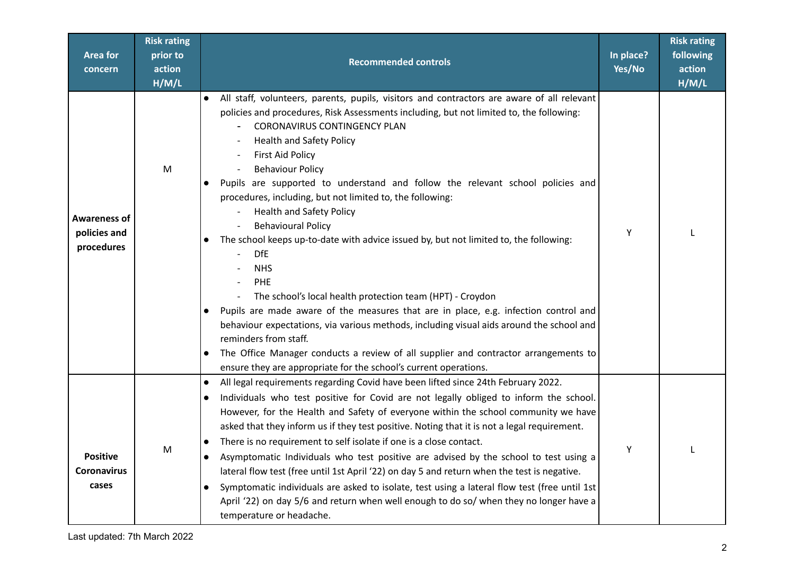| <b>Area for</b><br>concern                     | <b>Risk rating</b><br>prior to<br>action<br>H/M/L | <b>Recommended controls</b>                                                                                                                                                                                                                                                                                                                                                                                                                                                                                                                                                                                                                                                                                                                                                                                                                                                                                                                                                                                                                                                                                                                                | In place?<br>Yes/No | <b>Risk rating</b><br>following<br>action<br>H/M/L |
|------------------------------------------------|---------------------------------------------------|------------------------------------------------------------------------------------------------------------------------------------------------------------------------------------------------------------------------------------------------------------------------------------------------------------------------------------------------------------------------------------------------------------------------------------------------------------------------------------------------------------------------------------------------------------------------------------------------------------------------------------------------------------------------------------------------------------------------------------------------------------------------------------------------------------------------------------------------------------------------------------------------------------------------------------------------------------------------------------------------------------------------------------------------------------------------------------------------------------------------------------------------------------|---------------------|----------------------------------------------------|
| Awareness of<br>policies and<br>procedures     | M                                                 | All staff, volunteers, parents, pupils, visitors and contractors are aware of all relevant<br>policies and procedures, Risk Assessments including, but not limited to, the following:<br><b>CORONAVIRUS CONTINGENCY PLAN</b><br><b>Health and Safety Policy</b><br><b>First Aid Policy</b><br><b>Behaviour Policy</b><br>Pupils are supported to understand and follow the relevant school policies and<br>procedures, including, but not limited to, the following:<br><b>Health and Safety Policy</b><br><b>Behavioural Policy</b><br>The school keeps up-to-date with advice issued by, but not limited to, the following:<br>$\bullet$<br><b>DfE</b><br><b>NHS</b><br>PHE<br>The school's local health protection team (HPT) - Croydon<br>$\overline{\phantom{a}}$<br>Pupils are made aware of the measures that are in place, e.g. infection control and<br>$\bullet$<br>behaviour expectations, via various methods, including visual aids around the school and<br>reminders from staff.<br>The Office Manager conducts a review of all supplier and contractor arrangements to<br>ensure they are appropriate for the school's current operations. | Y                   |                                                    |
| <b>Positive</b><br><b>Coronavirus</b><br>cases | M                                                 | All legal requirements regarding Covid have been lifted since 24th February 2022.<br>$\bullet$<br>Individuals who test positive for Covid are not legally obliged to inform the school.<br>$\bullet$<br>However, for the Health and Safety of everyone within the school community we have<br>asked that they inform us if they test positive. Noting that it is not a legal requirement.<br>There is no requirement to self isolate if one is a close contact.<br>$\bullet$<br>Asymptomatic Individuals who test positive are advised by the school to test using a<br>$\bullet$<br>lateral flow test (free until 1st April '22) on day 5 and return when the test is negative.<br>Symptomatic individuals are asked to isolate, test using a lateral flow test (free until 1st<br>April '22) on day 5/6 and return when well enough to do so/ when they no longer have a<br>temperature or headache.                                                                                                                                                                                                                                                     | Y                   |                                                    |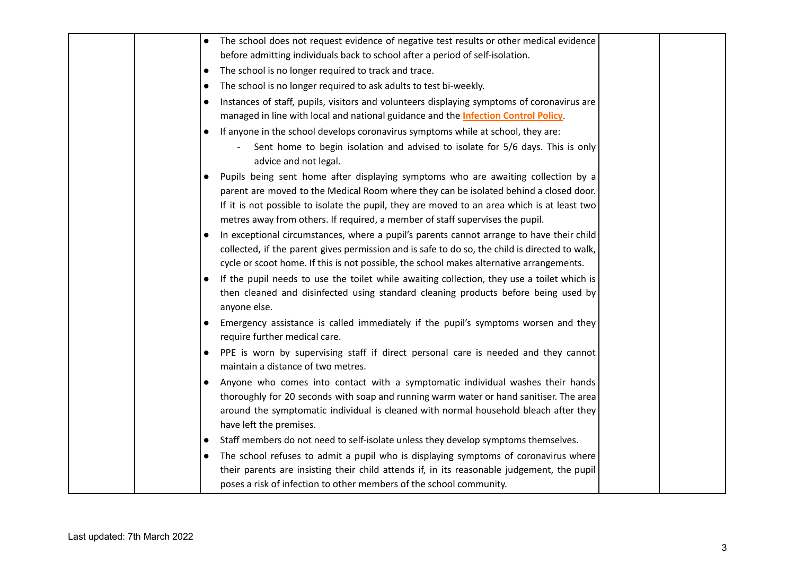| The school does not request evidence of negative test results or other medical evidence                                                                                                                                                                                                                                                                                 |  |
|-------------------------------------------------------------------------------------------------------------------------------------------------------------------------------------------------------------------------------------------------------------------------------------------------------------------------------------------------------------------------|--|
| before admitting individuals back to school after a period of self-isolation.                                                                                                                                                                                                                                                                                           |  |
| The school is no longer required to track and trace.<br>$\bullet$                                                                                                                                                                                                                                                                                                       |  |
| The school is no longer required to ask adults to test bi-weekly.<br>$\bullet$                                                                                                                                                                                                                                                                                          |  |
| Instances of staff, pupils, visitors and volunteers displaying symptoms of coronavirus are<br>$\bullet$                                                                                                                                                                                                                                                                 |  |
| managed in line with local and national guidance and the <b>Infection Control Policy</b> .                                                                                                                                                                                                                                                                              |  |
| If anyone in the school develops coronavirus symptoms while at school, they are:                                                                                                                                                                                                                                                                                        |  |
| Sent home to begin isolation and advised to isolate for 5/6 days. This is only<br>advice and not legal.                                                                                                                                                                                                                                                                 |  |
| Pupils being sent home after displaying symptoms who are awaiting collection by a<br>$\bullet$<br>parent are moved to the Medical Room where they can be isolated behind a closed door.<br>If it is not possible to isolate the pupil, they are moved to an area which is at least two<br>metres away from others. If required, a member of staff supervises the pupil. |  |
| In exceptional circumstances, where a pupil's parents cannot arrange to have their child<br>collected, if the parent gives permission and is safe to do so, the child is directed to walk,<br>cycle or scoot home. If this is not possible, the school makes alternative arrangements.                                                                                  |  |
| If the pupil needs to use the toilet while awaiting collection, they use a toilet which is<br>then cleaned and disinfected using standard cleaning products before being used by<br>anyone else.                                                                                                                                                                        |  |
| Emergency assistance is called immediately if the pupil's symptoms worsen and they<br>$\bullet$<br>require further medical care.                                                                                                                                                                                                                                        |  |
| PPE is worn by supervising staff if direct personal care is needed and they cannot<br>maintain a distance of two metres.                                                                                                                                                                                                                                                |  |
| Anyone who comes into contact with a symptomatic individual washes their hands<br>thoroughly for 20 seconds with soap and running warm water or hand sanitiser. The area<br>around the symptomatic individual is cleaned with normal household bleach after they<br>have left the premises.                                                                             |  |
| Staff members do not need to self-isolate unless they develop symptoms themselves.<br>$\bullet$                                                                                                                                                                                                                                                                         |  |
| The school refuses to admit a pupil who is displaying symptoms of coronavirus where<br>$\bullet$<br>their parents are insisting their child attends if, in its reasonable judgement, the pupil<br>poses a risk of infection to other members of the school community.                                                                                                   |  |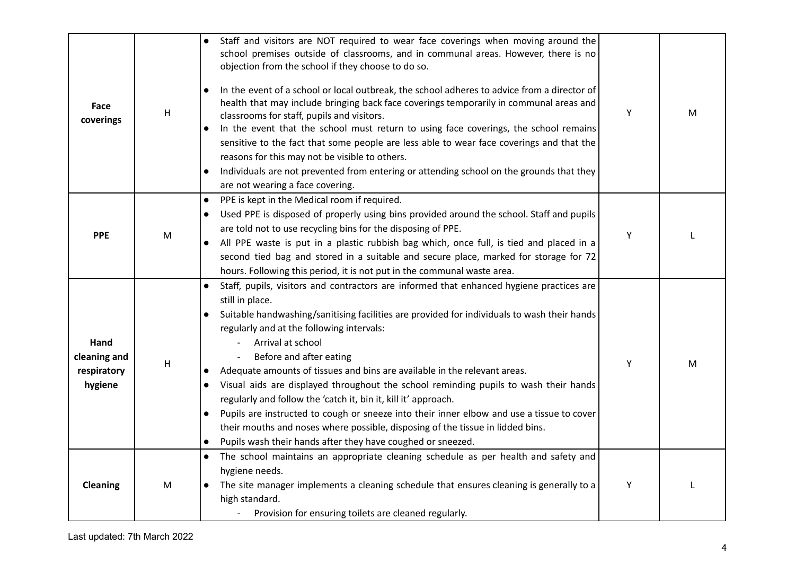| Face<br>coverings                              | $\mathsf{H}$ | Staff and visitors are NOT required to wear face coverings when moving around the<br>school premises outside of classrooms, and in communal areas. However, there is no<br>objection from the school if they choose to do so.<br>In the event of a school or local outbreak, the school adheres to advice from a director of<br>$\bullet$<br>health that may include bringing back face coverings temporarily in communal areas and<br>classrooms for staff, pupils and visitors.<br>In the event that the school must return to using face coverings, the school remains<br>sensitive to the fact that some people are less able to wear face coverings and that the<br>reasons for this may not be visible to others.<br>Individuals are not prevented from entering or attending school on the grounds that they<br>$\bullet$<br>are not wearing a face covering. | Y | M |
|------------------------------------------------|--------------|----------------------------------------------------------------------------------------------------------------------------------------------------------------------------------------------------------------------------------------------------------------------------------------------------------------------------------------------------------------------------------------------------------------------------------------------------------------------------------------------------------------------------------------------------------------------------------------------------------------------------------------------------------------------------------------------------------------------------------------------------------------------------------------------------------------------------------------------------------------------|---|---|
| <b>PPE</b>                                     | M            | PPE is kept in the Medical room if required.<br>$\bullet$<br>Used PPE is disposed of properly using bins provided around the school. Staff and pupils<br>$\bullet$<br>are told not to use recycling bins for the disposing of PPE.<br>All PPE waste is put in a plastic rubbish bag which, once full, is tied and placed in a<br>second tied bag and stored in a suitable and secure place, marked for storage for 72<br>hours. Following this period, it is not put in the communal waste area.                                                                                                                                                                                                                                                                                                                                                                     | Y |   |
| Hand<br>cleaning and<br>respiratory<br>hygiene | Н            | Staff, pupils, visitors and contractors are informed that enhanced hygiene practices are<br>$\bullet$<br>still in place.<br>Suitable handwashing/sanitising facilities are provided for individuals to wash their hands<br>regularly and at the following intervals:<br>Arrival at school<br>Before and after eating<br>Adequate amounts of tissues and bins are available in the relevant areas.<br>$\bullet$<br>Visual aids are displayed throughout the school reminding pupils to wash their hands<br>$\bullet$<br>regularly and follow the 'catch it, bin it, kill it' approach.<br>Pupils are instructed to cough or sneeze into their inner elbow and use a tissue to cover<br>$\bullet$<br>their mouths and noses where possible, disposing of the tissue in lidded bins.<br>Pupils wash their hands after they have coughed or sneezed.                     | Υ | м |
| <b>Cleaning</b>                                | M            | The school maintains an appropriate cleaning schedule as per health and safety and<br>$\bullet$<br>hygiene needs.<br>The site manager implements a cleaning schedule that ensures cleaning is generally to a<br>$\bullet$<br>high standard.<br>Provision for ensuring toilets are cleaned regularly.                                                                                                                                                                                                                                                                                                                                                                                                                                                                                                                                                                 | Υ |   |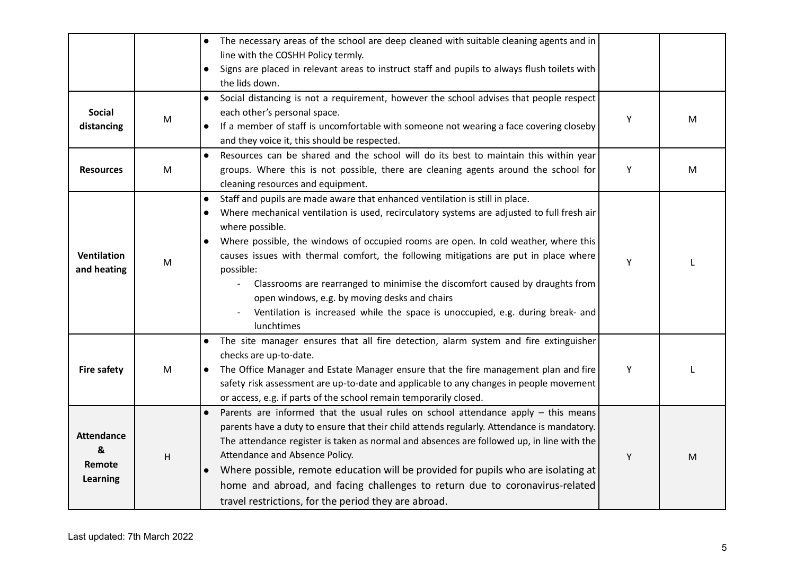|                                              |   | The necessary areas of the school are deep cleaned with suitable cleaning agents and in<br>$\bullet$<br>line with the COSHH Policy termly.<br>Signs are placed in relevant areas to instruct staff and pupils to always flush toilets with<br>the lids down.                                                                                                                                                                                                                                                                                                                                                                                                                     |   |   |
|----------------------------------------------|---|----------------------------------------------------------------------------------------------------------------------------------------------------------------------------------------------------------------------------------------------------------------------------------------------------------------------------------------------------------------------------------------------------------------------------------------------------------------------------------------------------------------------------------------------------------------------------------------------------------------------------------------------------------------------------------|---|---|
| <b>Social</b><br>distancing                  | M | Social distancing is not a requirement, however the school advises that people respect<br>$\bullet$<br>each other's personal space.<br>If a member of staff is uncomfortable with someone not wearing a face covering closeby<br>and they voice it, this should be respected.                                                                                                                                                                                                                                                                                                                                                                                                    | Υ | M |
| <b>Resources</b>                             | M | Resources can be shared and the school will do its best to maintain this within year<br>groups. Where this is not possible, there are cleaning agents around the school for<br>cleaning resources and equipment.                                                                                                                                                                                                                                                                                                                                                                                                                                                                 | Υ | M |
| <b>Ventilation</b><br>and heating            | M | Staff and pupils are made aware that enhanced ventilation is still in place.<br>$\bullet$<br>Where mechanical ventilation is used, recirculatory systems are adjusted to full fresh air<br>$\bullet$<br>where possible.<br>Where possible, the windows of occupied rooms are open. In cold weather, where this<br>causes issues with thermal comfort, the following mitigations are put in place where<br>possible:<br>Classrooms are rearranged to minimise the discomfort caused by draughts from<br>$\overline{\phantom{a}}$<br>open windows, e.g. by moving desks and chairs<br>Ventilation is increased while the space is unoccupied, e.g. during break- and<br>lunchtimes | Y |   |
| <b>Fire safety</b>                           | M | The site manager ensures that all fire detection, alarm system and fire extinguisher<br>$\bullet$<br>checks are up-to-date.<br>The Office Manager and Estate Manager ensure that the fire management plan and fire<br>$\bullet$<br>safety risk assessment are up-to-date and applicable to any changes in people movement<br>or access, e.g. if parts of the school remain temporarily closed.                                                                                                                                                                                                                                                                                   | Y |   |
| <b>Attendance</b><br>&<br>Remote<br>Learning | H | Parents are informed that the usual rules on school attendance apply - this means<br>$\bullet$<br>parents have a duty to ensure that their child attends regularly. Attendance is mandatory.<br>The attendance register is taken as normal and absences are followed up, in line with the<br>Attendance and Absence Policy.<br>Where possible, remote education will be provided for pupils who are isolating at<br>$\bullet$<br>home and abroad, and facing challenges to return due to coronavirus-related<br>travel restrictions, for the period they are abroad.                                                                                                             | Y | M |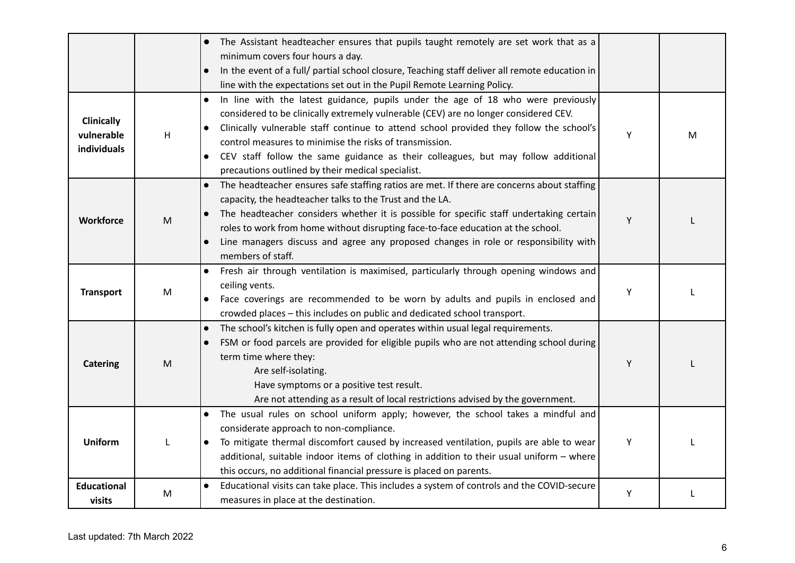|                                                |                                                                                                            | The Assistant headteacher ensures that pupils taught remotely are set work that as a<br>$\bullet$<br>minimum covers four hours a day.<br>In the event of a full/ partial school closure, Teaching staff deliver all remote education in<br>$\bullet$<br>line with the expectations set out in the Pupil Remote Learning Policy.                                                                                                                                                                                 |   |   |
|------------------------------------------------|------------------------------------------------------------------------------------------------------------|-----------------------------------------------------------------------------------------------------------------------------------------------------------------------------------------------------------------------------------------------------------------------------------------------------------------------------------------------------------------------------------------------------------------------------------------------------------------------------------------------------------------|---|---|
| <b>Clinically</b><br>vulnerable<br>individuals | н                                                                                                          | In line with the latest guidance, pupils under the age of 18 who were previously<br>$\bullet$<br>considered to be clinically extremely vulnerable (CEV) are no longer considered CEV.<br>Clinically vulnerable staff continue to attend school provided they follow the school's<br>$\bullet$<br>control measures to minimise the risks of transmission.<br>CEV staff follow the same guidance as their colleagues, but may follow additional<br>$\bullet$<br>precautions outlined by their medical specialist. | Y | M |
| Workforce                                      | $\mathsf{M}% _{T}=\mathsf{M}_{T}\!\left( a,b\right) ,\ \mathsf{M}_{T}=\mathsf{M}_{T}\!\left( a,b\right) ,$ | The headteacher ensures safe staffing ratios are met. If there are concerns about staffing<br>$\bullet$<br>capacity, the headteacher talks to the Trust and the LA.<br>The headteacher considers whether it is possible for specific staff undertaking certain<br>$\bullet$<br>roles to work from home without disrupting face-to-face education at the school.<br>Line managers discuss and agree any proposed changes in role or responsibility with<br>members of staff.                                     | Y |   |
| <b>Transport</b>                               | M                                                                                                          | Fresh air through ventilation is maximised, particularly through opening windows and<br>$\bullet$<br>ceiling vents.<br>Face coverings are recommended to be worn by adults and pupils in enclosed and<br>crowded places - this includes on public and dedicated school transport.                                                                                                                                                                                                                               | Υ |   |
| <b>Catering</b>                                | M                                                                                                          | The school's kitchen is fully open and operates within usual legal requirements.<br>$\bullet$<br>FSM or food parcels are provided for eligible pupils who are not attending school during<br>$\bullet$<br>term time where they:<br>Are self-isolating.<br>Have symptoms or a positive test result.<br>Are not attending as a result of local restrictions advised by the government.                                                                                                                            | Υ |   |
| <b>Uniform</b>                                 |                                                                                                            | The usual rules on school uniform apply; however, the school takes a mindful and<br>$\bullet$<br>considerate approach to non-compliance.<br>To mitigate thermal discomfort caused by increased ventilation, pupils are able to wear<br>$\bullet$<br>additional, suitable indoor items of clothing in addition to their usual uniform - where<br>this occurs, no additional financial pressure is placed on parents.                                                                                             | Y |   |
| <b>Educational</b><br>visits                   | ${\sf M}$                                                                                                  | Educational visits can take place. This includes a system of controls and the COVID-secure<br>$\bullet$<br>measures in place at the destination.                                                                                                                                                                                                                                                                                                                                                                | Y |   |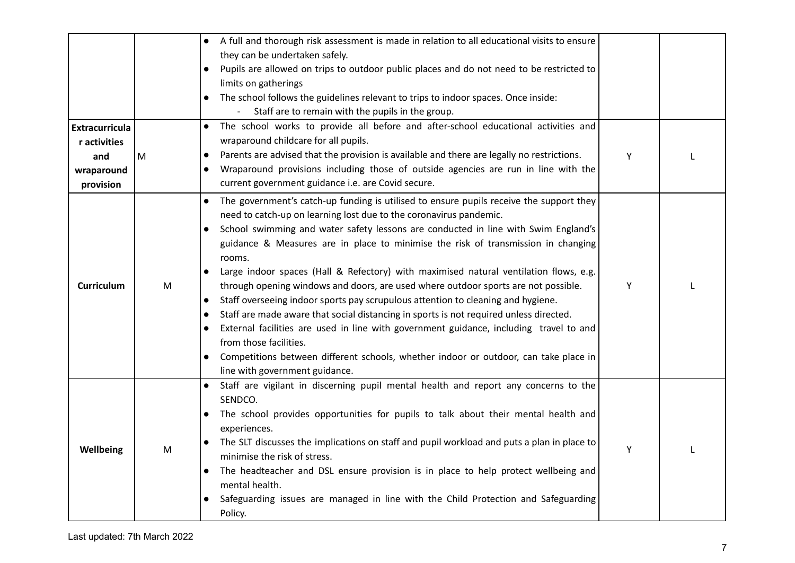| <b>Extracurricula</b>             |   | A full and thorough risk assessment is made in relation to all educational visits to ensure<br>$\bullet$<br>they can be undertaken safely.<br>Pupils are allowed on trips to outdoor public places and do not need to be restricted to<br>$\bullet$<br>limits on gatherings<br>The school follows the guidelines relevant to trips to indoor spaces. Once inside:<br>$\bullet$<br>Staff are to remain with the pupils in the group.<br>The school works to provide all before and after-school educational activities and<br>$\bullet$                                                                                                                                                                                                                                                                                                                                                                                                                                                                                                      |   |  |
|-----------------------------------|---|---------------------------------------------------------------------------------------------------------------------------------------------------------------------------------------------------------------------------------------------------------------------------------------------------------------------------------------------------------------------------------------------------------------------------------------------------------------------------------------------------------------------------------------------------------------------------------------------------------------------------------------------------------------------------------------------------------------------------------------------------------------------------------------------------------------------------------------------------------------------------------------------------------------------------------------------------------------------------------------------------------------------------------------------|---|--|
| r activities<br>and<br>wraparound | M | wraparound childcare for all pupils.<br>Parents are advised that the provision is available and there are legally no restrictions.<br>$\bullet$<br>Wraparound provisions including those of outside agencies are run in line with the<br>$\bullet$<br>current government guidance i.e. are Covid secure.                                                                                                                                                                                                                                                                                                                                                                                                                                                                                                                                                                                                                                                                                                                                    | Y |  |
| provision<br><b>Curriculum</b>    | M | The government's catch-up funding is utilised to ensure pupils receive the support they<br>$\bullet$<br>need to catch-up on learning lost due to the coronavirus pandemic.<br>School swimming and water safety lessons are conducted in line with Swim England's<br>$\bullet$<br>guidance & Measures are in place to minimise the risk of transmission in changing<br>rooms.<br>Large indoor spaces (Hall & Refectory) with maximised natural ventilation flows, e.g.<br>$\bullet$<br>through opening windows and doors, are used where outdoor sports are not possible.<br>Staff overseeing indoor sports pay scrupulous attention to cleaning and hygiene.<br>$\bullet$<br>Staff are made aware that social distancing in sports is not required unless directed.<br>$\bullet$<br>External facilities are used in line with government guidance, including travel to and<br>$\bullet$<br>from those facilities.<br>Competitions between different schools, whether indoor or outdoor, can take place in<br>line with government guidance. | Y |  |
| Wellbeing                         | M | Staff are vigilant in discerning pupil mental health and report any concerns to the<br>SENDCO.<br>The school provides opportunities for pupils to talk about their mental health and<br>$\bullet$<br>experiences.<br>The SLT discusses the implications on staff and pupil workload and puts a plan in place to<br>minimise the risk of stress.<br>The headteacher and DSL ensure provision is in place to help protect wellbeing and<br>$\bullet$<br>mental health.<br>Safeguarding issues are managed in line with the Child Protection and Safeguarding<br>Policy.                                                                                                                                                                                                                                                                                                                                                                                                                                                                       | Y |  |